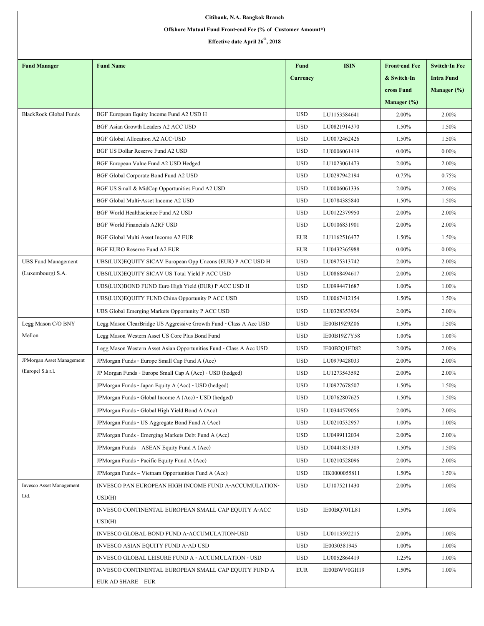| Citibank, N.A. Bangkok Branch                              |                                                                     |                 |              |                      |                      |  |  |  |  |
|------------------------------------------------------------|---------------------------------------------------------------------|-----------------|--------------|----------------------|----------------------|--|--|--|--|
| Offshore Mutual Fund Front-end Fee (% of Customer Amount*) |                                                                     |                 |              |                      |                      |  |  |  |  |
| Effective date April 26 <sup>th</sup> , 2018               |                                                                     |                 |              |                      |                      |  |  |  |  |
|                                                            |                                                                     |                 |              |                      |                      |  |  |  |  |
| <b>Fund Manager</b>                                        | <b>Fund Name</b>                                                    | <b>Fund</b>     | <b>ISIN</b>  | <b>Front-end Fee</b> | <b>Switch-In Fee</b> |  |  |  |  |
|                                                            |                                                                     | <b>Currency</b> |              | & Switch-In          | <b>Intra Fund</b>    |  |  |  |  |
|                                                            |                                                                     |                 |              | cross Fund           | Manager (%)          |  |  |  |  |
|                                                            |                                                                     |                 |              | Manager (%)          |                      |  |  |  |  |
| <b>BlackRock Global Funds</b>                              | BGF European Equity Income Fund A2 USD H                            | <b>USD</b>      | LU1153584641 | 2.00%                | 2.00%                |  |  |  |  |
|                                                            | BGF Asian Growth Leaders A2 ACC USD                                 | <b>USD</b>      | LU0821914370 | 1.50%                | 1.50%                |  |  |  |  |
|                                                            | <b>BGF Global Allocation A2 ACC-USD</b>                             | <b>USD</b>      | LU0072462426 | 1.50%                | 1.50%                |  |  |  |  |
|                                                            | BGF US Dollar Reserve Fund A2 USD                                   | <b>USD</b>      | LU0006061419 | $0.00\%$             | $0.00\%$             |  |  |  |  |
|                                                            | BGF European Value Fund A2 USD Hedged                               | <b>USD</b>      | LU1023061473 | 2.00%                | 2.00%                |  |  |  |  |
|                                                            | BGF Global Corporate Bond Fund A2 USD                               | <b>USD</b>      | LU0297942194 | 0.75%                | 0.75%                |  |  |  |  |
|                                                            | BGF US Small & MidCap Opportunities Fund A2 USD                     | <b>USD</b>      | LU0006061336 | 2.00%                | 2.00%                |  |  |  |  |
|                                                            | BGF Global Multi-Asset Income A2 USD                                | <b>USD</b>      | LU0784385840 | 1.50%                | 1.50%                |  |  |  |  |
|                                                            | BGF World Healthscience Fund A2 USD                                 | <b>USD</b>      | LU0122379950 | 2.00%                | 2.00%                |  |  |  |  |
|                                                            | <b>BGF World Financials A2RF USD</b>                                | <b>USD</b>      | LU0106831901 | 2.00%                | 2.00%                |  |  |  |  |
|                                                            | BGF Global Multi Asset Income A2 EUR                                | <b>EUR</b>      | LU1162516477 | 1.50%                | 1.50%                |  |  |  |  |
|                                                            | BGF EURO Reserve Fund A2 EUR                                        | <b>EUR</b>      | LU0432365988 | $0.00\%$             | $0.00\%$             |  |  |  |  |
| <b>UBS Fund Management</b>                                 | UBS(LUX)EQUITY SICAV European Opp Uncons (EUR) P ACC USD H          | <b>USD</b>      | LU0975313742 | 2.00%                | 2.00%                |  |  |  |  |
| (Luxembourg) S.A.                                          | UBS(LUX)EQUITY SICAV US Total Yield P ACC USD                       | <b>USD</b>      | LU0868494617 | 2.00%                | 2.00%                |  |  |  |  |
|                                                            | UBS(LUX)BOND FUND Euro High Yield (EUR) P ACC USD H                 | <b>USD</b>      | LU0994471687 | 1.00%                | 1.00%                |  |  |  |  |
|                                                            | UBS(LUX)EQUITY FUND China Opportunity P ACC USD                     | <b>USD</b>      | LU0067412154 | 1.50%                | 1.50%                |  |  |  |  |
|                                                            | UBS Global Emerging Markets Opportunity P ACC USD                   | <b>USD</b>      | LU0328353924 | 2.00%                | 2.00%                |  |  |  |  |
| Legg Mason C/O BNY                                         | Legg Mason ClearBridge US Aggressive Growth Fund - Class A Acc USD  | <b>USD</b>      | IE00B19Z9Z06 | 1.50%                | 1.50%                |  |  |  |  |
| Mellon                                                     | Legg Mason Western Asset US Core Plus Bond Fund                     | <b>USD</b>      | IE00B19Z7Y58 | 1.00%                | 1.00%                |  |  |  |  |
|                                                            | Legg Mason Western Asset Asian Opportunities Fund - Class A Acc USD | <b>USD</b>      | IE00B2Q1FD82 | 2.00%                | 2.00%                |  |  |  |  |
| JPMorgan Asset Management                                  | JPM organ Funds - Europe Small Cap Fund A (Acc)                     | <b>USD</b>      | LU0979428033 | 2.00%                | 2.00%                |  |  |  |  |
| (Europe) S.à r.l.                                          | JP Morgan Funds - Europe Small Cap A (Acc) - USD (hedged)           | $_{\rm USD}$    | LU1273543592 | 2.00%                | 2.00%                |  |  |  |  |
|                                                            | JPMorgan Funds - Japan Equity A (Acc) - USD (hedged)                | <b>USD</b>      | LU0927678507 | 1.50%                | 1.50%                |  |  |  |  |
|                                                            | JPMorgan Funds - Global Income A (Acc) - USD (hedged)               | <b>USD</b>      | LU0762807625 | 1.50%                | 1.50%                |  |  |  |  |
|                                                            | JPMorgan Funds - Global High Yield Bond A (Acc)                     | <b>USD</b>      | LU0344579056 | 2.00%                | 2.00%                |  |  |  |  |
|                                                            | JPM organ Funds - US Aggregate Bond Fund A (Acc)                    | <b>USD</b>      | LU0210532957 | 1.00%                | 1.00%                |  |  |  |  |
|                                                            | JPMorgan Funds - Emerging Markets Debt Fund A (Acc)                 | <b>USD</b>      | LU0499112034 | 2.00%                | 2.00%                |  |  |  |  |
|                                                            | JPMorgan Funds - ASEAN Equity Fund A (Acc)                          | <b>USD</b>      | LU0441851309 | 1.50%                | 1.50%                |  |  |  |  |
|                                                            | JPM organ Funds - Pacific Equity Fund A (Acc)                       | <b>USD</b>      | LU0210528096 | 2.00%                | 2.00%                |  |  |  |  |
|                                                            | JPMorgan Funds - Vietnam Opportunities Fund A (Acc)                 | <b>USD</b>      | HK0000055811 | 1.50%                | 1.50%                |  |  |  |  |
| Invesco Asset Management                                   | INVESCO PAN EUROPEAN HIGH INCOME FUND A-ACCUMULATION-               | USD             | LU1075211430 | 2.00%                | 1.00%                |  |  |  |  |
| Ltd.                                                       | USD(H)                                                              |                 |              |                      |                      |  |  |  |  |
|                                                            | INVESCO CONTINENTAL EUROPEAN SMALL CAP EQUITY A-ACC                 | <b>USD</b>      | IE00BQ70TL81 | 1.50%                | 1.00%                |  |  |  |  |
|                                                            | USD(H)                                                              |                 |              |                      |                      |  |  |  |  |
|                                                            | INVESCO GLOBAL BOND FUND A-ACCUMULATION-USD                         | <b>USD</b>      | LU0113592215 | 2.00%                | 1.00%                |  |  |  |  |
|                                                            | INVESCO ASIAN EQUITY FUND A-AD USD                                  | <b>USD</b>      | IE0030381945 | 1.00%                | 1.00%                |  |  |  |  |
|                                                            | INVESCO GLOBAL LEISURE FUND A - ACCUMULATION - USD                  | <b>USD</b>      | LU0052864419 | 1.25%                | $1.00\%$             |  |  |  |  |
|                                                            | INVESCO CONTINENTAL EUROPEAN SMALL CAP EQUITY FUND A                | EUR             | IE00BWV0GH19 | 1.50%                | 1.00%                |  |  |  |  |
|                                                            | <b>EUR AD SHARE - EUR</b>                                           |                 |              |                      |                      |  |  |  |  |